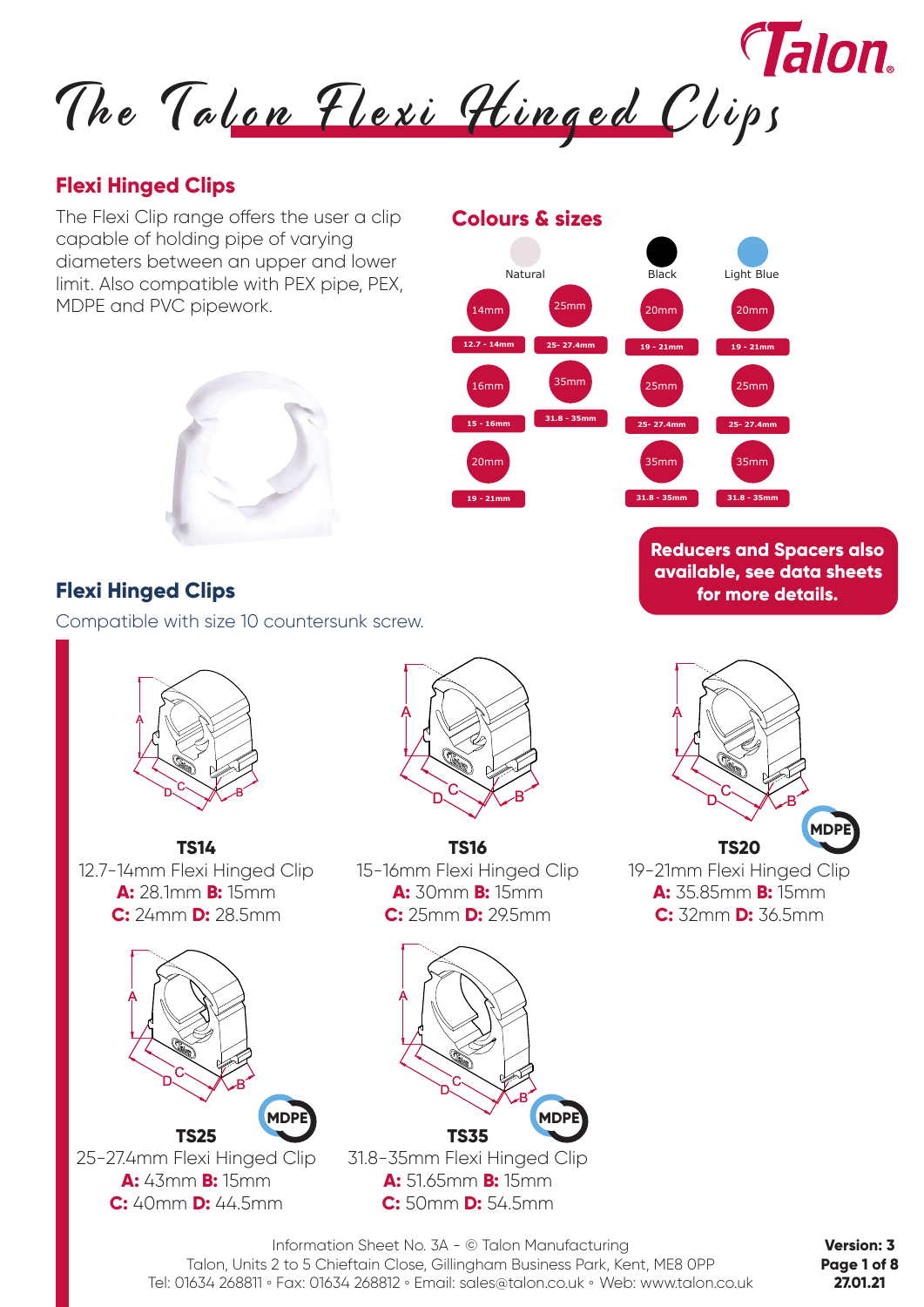

**12.7 - 14mm**

14mm

**15 - 16mm**

16mm

**19 - 21mm**

20mm

**Colours & sizes**

Natural

**25- 27.4mm**

25mm

**31.8 - 35mm**

35mm

## **Flexi Hinged Clips**

The Flexi Clip range offers the user a clip capable of holding pipe of varying diameters between an upper and lower limit. Also compatible with PEX pipe, PEX, MDPE and PVC pipework.



## **Flexi Hinged Clips**

Compatible with size 10 countersunk screw.



**TS14** 12.7-14mm Flexi Hinged Clip **A:** 28.1mm **B:** 15mm **C:** 24mm **D:** 28.5mm



25-27.4mm Flexi Hinged Clip **A:** 43mm **B:** 15mm **C:** 40mm **D:** 44.5mm



**TS16** 15-16mm Flexi Hinged Clip **A:** 30mm **B:** 15mm **C:** 25mm **D:** 29.5mm

A



**Reducers and Spacers also available, see data sheets for more details.**

**19 - 21mm**

**19 - 21mm**

25mm

20mm

**Black** 

**25- 27.4mm**

**31.8 - 35mm**

35mm

20mm

Light Blue

**25- 27.4mm**

35mm

25mm

**31.8 - 35mm**

**TS35** 31.8-35mm Flexi Hinged Clip **A:** 51.65mm **B:** 15mm **C:** 50mm **D:** 54.5mm

 $D^C$ 

Information Sheet No. 3A - © Talon Manufacturing Talon, Units 2 to 5 Chieftain Close, Gillingham Business Park, Kent, ME8 0PP Tel: 01634 268811 **◦** Fax: 01634 268812 **◦** Email: sales@talon.co.uk **◦** Web: www.talon.co.uk

**Version: 3 Page 1 of 8 27.01.21**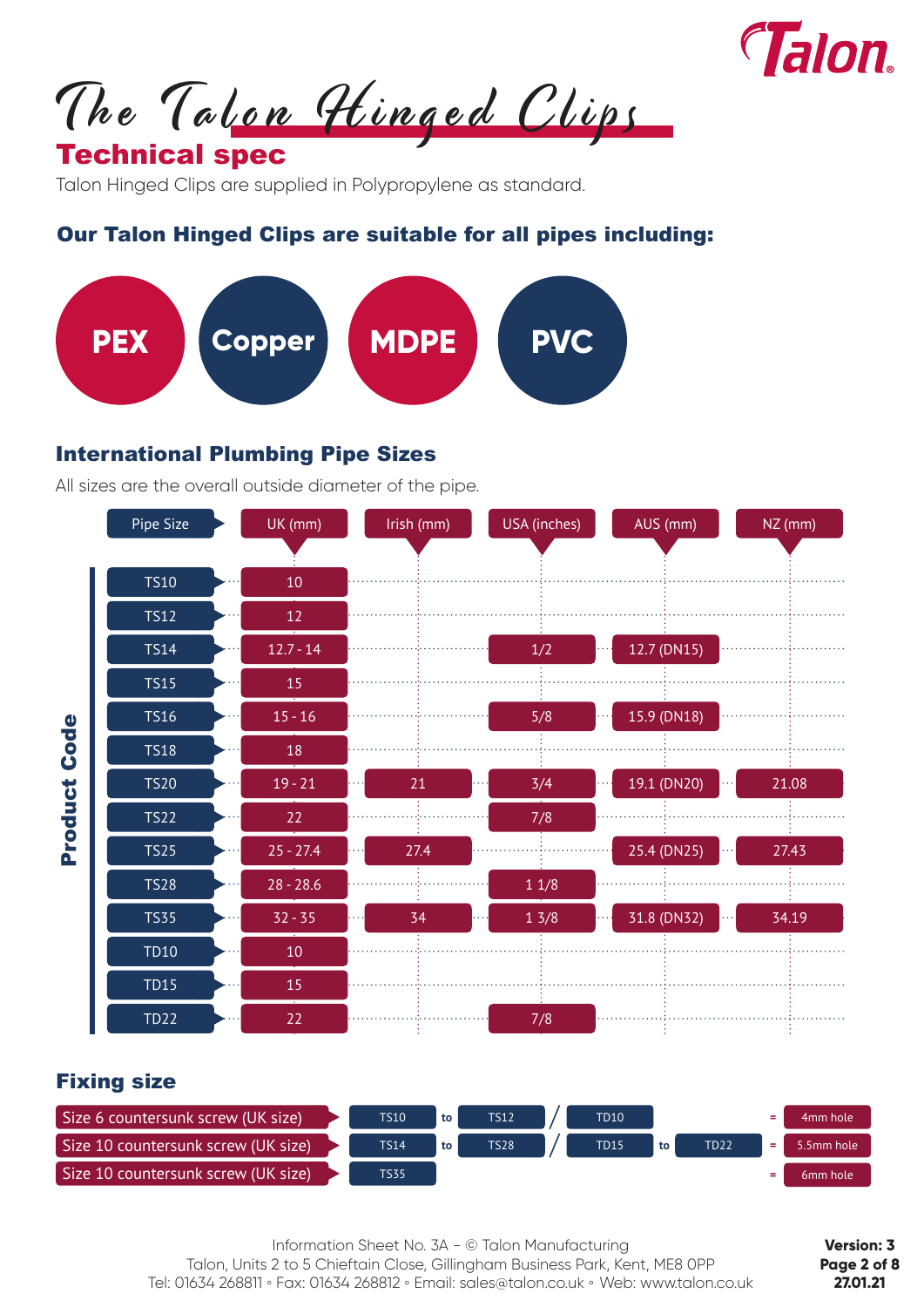

The Talon Hinged Clips

# Technical spec

Talon Hinged Clips are supplied in Polypropylene as standard.

## Our Talon Hinged Clips are suitable for all pipes including:



#### International Plumbing Pipe Sizes

All sizes are the overall outside diameter of the pipe.



#### Fixing size

| Size 6 countersunk screw (UK size), | <b>TS10</b> | to | <b>TS12</b> | <b>TD10</b> |    |      | ۰. | 4mm hole             |
|-------------------------------------|-------------|----|-------------|-------------|----|------|----|----------------------|
| Size 10 countersunk screw (UK size) | <b>TS14</b> | to | <b>TS28</b> | <b>TD15</b> | to | TD22 |    | 5.5mm hole           |
| Size 10 countersunk screw (UK size) | <b>TS35</b> |    |             |             |    |      |    | 6 <sub>mm</sub> hole |

Information Sheet No. 3A - © Talon Manufacturing Talon, Units 2 to 5 Chieftain Close, Gillingham Business Park, Kent, ME8 0PP Tel: 01634 268811 **◦** Fax: 01634 268812 **◦** Email: sales@talon.co.uk **◦** Web: www.talon.co.uk

**Version: 3 Page 2 of 8 27.01.21**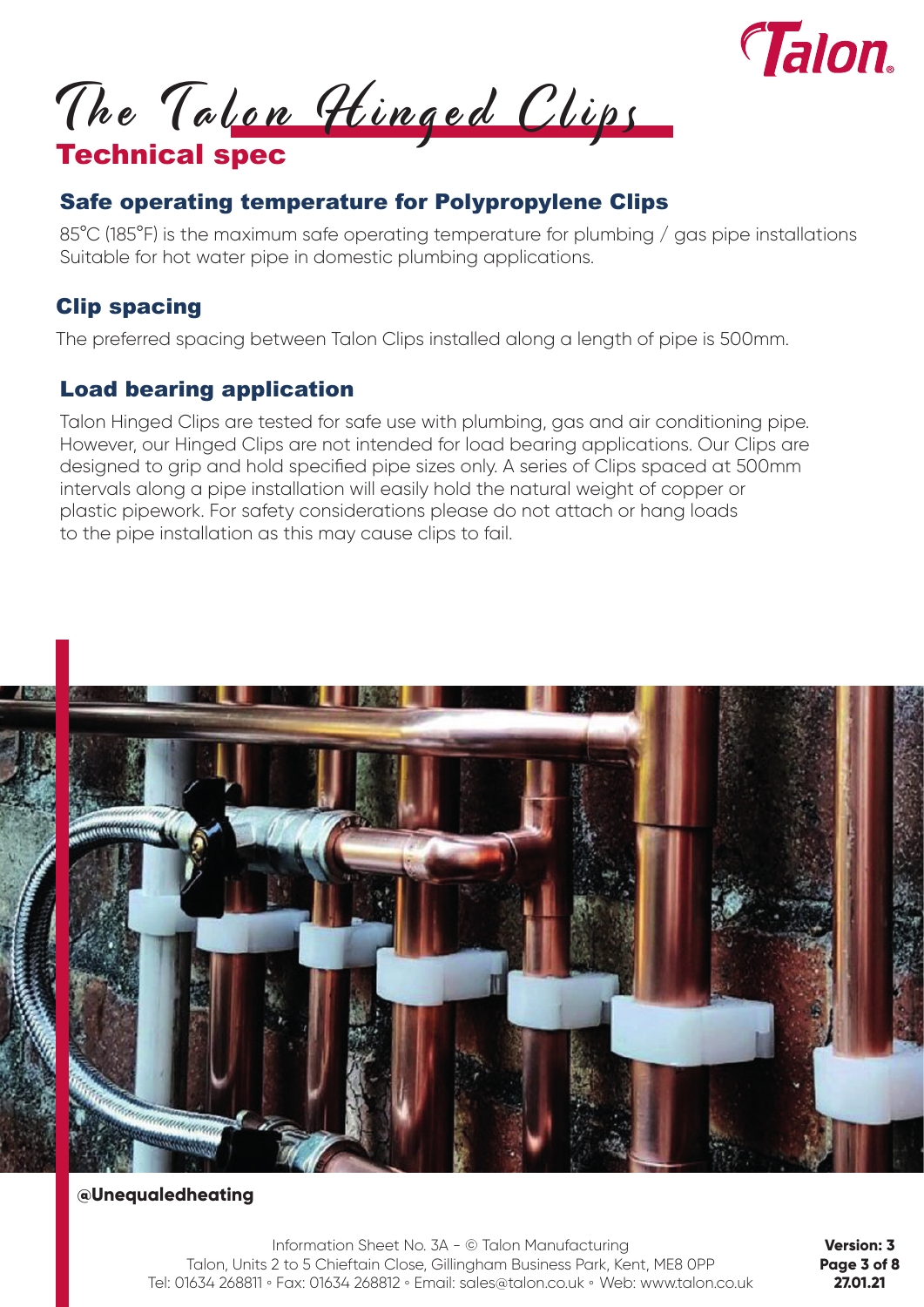

The Talon Hinged Clips

# Technical spec

# Safe operating temperature for Polypropylene Clips

85°C (185°F) is the maximum safe operating temperature for plumbing / gas pipe installations Suitable for hot water pipe in domestic plumbing applications.

# Clip spacing

The preferred spacing between Talon Clips installed along a length of pipe is 500mm.

# Load bearing application

Talon Hinged Clips are tested for safe use with plumbing, gas and air conditioning pipe. However, our Hinged Clips are not intended for load bearing applications. Our Clips are designed to grip and hold specified pipe sizes only. A series of Clips spaced at 500mm intervals along a pipe installation will easily hold the natural weight of copper or plastic pipework. For safety considerations please do not attach or hang loads to the pipe installation as this may cause clips to fail.



#### **@Unequaledheating**

Information Sheet No. 3A - © Talon Manufacturing Talon, Units 2 to 5 Chieftain Close, Gillingham Business Park, Kent, ME8 0PP Tel: 01634 268811 **◦** Fax: 01634 268812 **◦** Email: sales@talon.co.uk **◦** Web: www.talon.co.uk

**Version: 3 Page 3 of 8 27.01.21**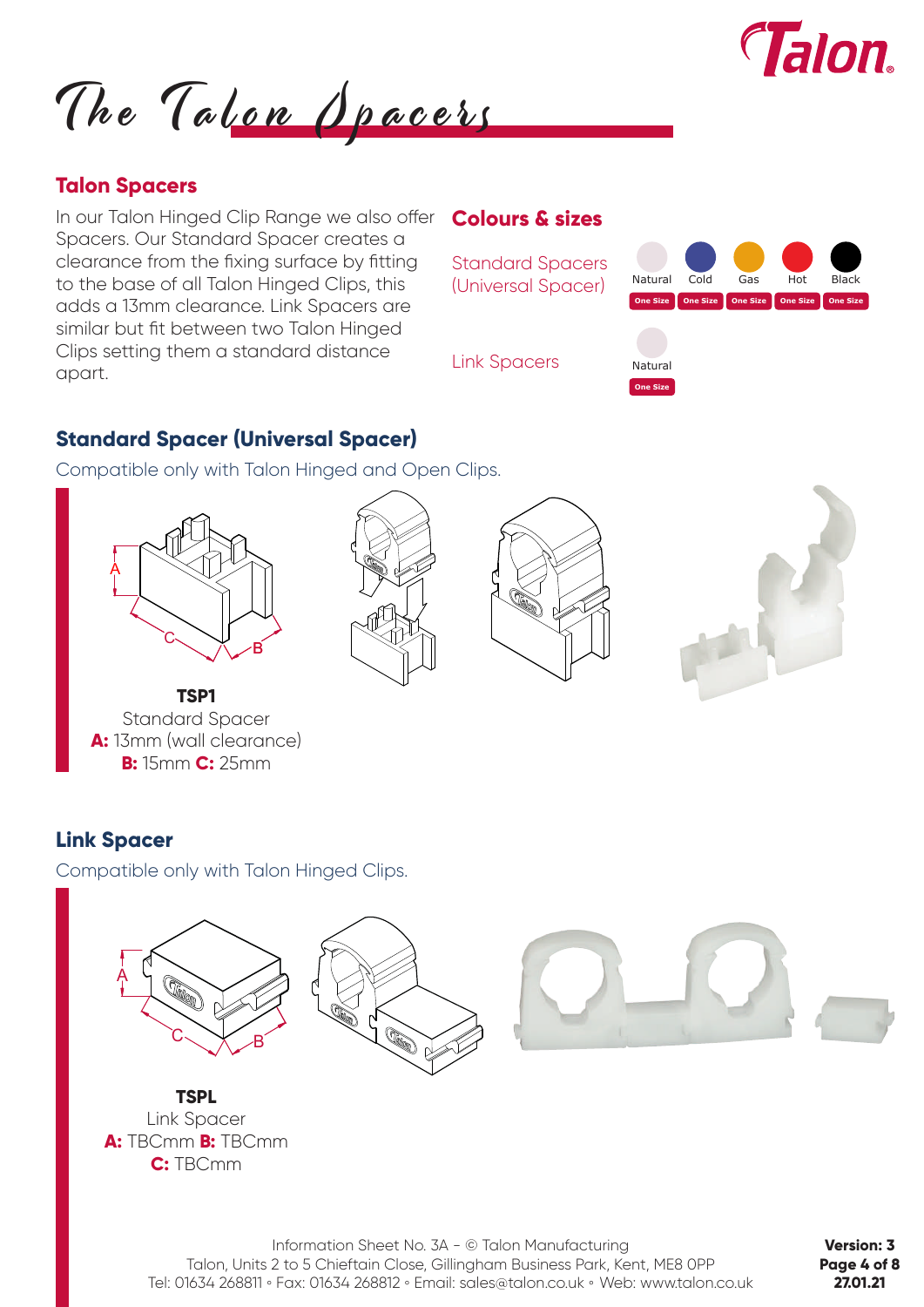

The Talon Opacers

### **Talon Spacers**

In our Talon Hinged Clip Range we also offer Spacers. Our Standard Spacer creates a clearance from the fixing surface by fitting to the base of all Talon Hinged Clips, this adds a 13mm clearance. Link Spacers are similar but fit between two Talon Hinged Clips setting them a standard distance apart.

#### **Colours & sizes**



#### **Standard Spacer (Universal Spacer)**

Compatible only with Talon Hinged and Open Clips.









**TSP1** Standard Spacer **A:** 13mm (wall clearance) **B:** 15mm **C:** 25mm

### **Link Spacer**

Compatible only with Talon Hinged Clips.



**Version: 3 Page 4 of 8 27.01.21**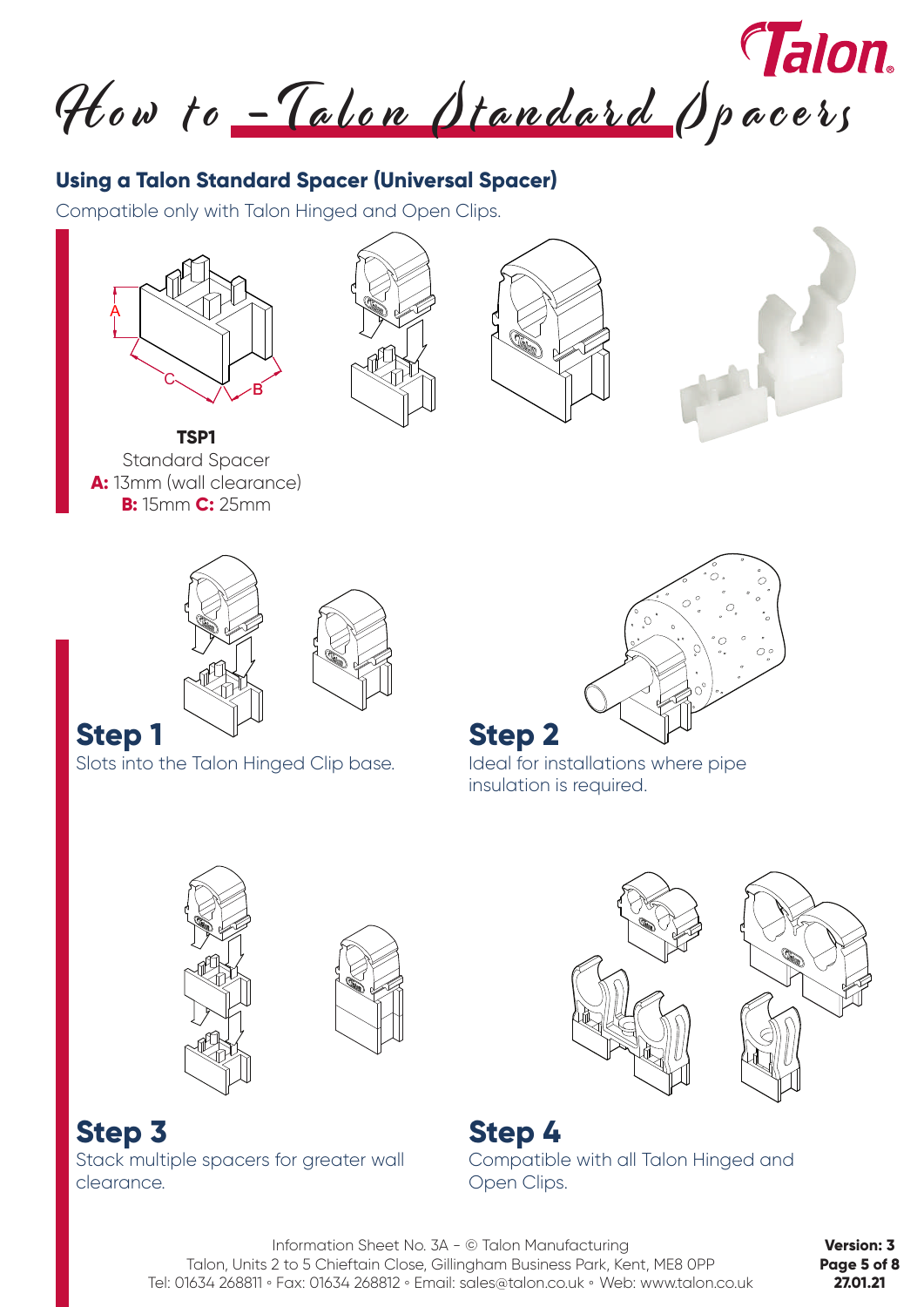How to -Talon Standard Spacers

# **Using a Talon Standard Spacer (Universal Spacer)**

Compatible only with Talon Hinged and Open Clips.









**TSP1** Standard Spacer **A:** 13mm (wall clearance) **B:** 15mm **C:** 25mm





# **Step 1**

Slots into the Talon Hinged Clip base.



Ideal for installations where pipe insulation is required.





**Step 4** Compatible with all Talon Hinged and Open Clips.

Information Sheet No. 3A - © Talon Manufacturing Talon, Units 2 to 5 Chieftain Close, Gillingham Business Park, Kent, ME8 0PP Tel: 01634 268811 **◦** Fax: 01634 268812 **◦** Email: sales@talon.co.uk **◦** Web: www.talon.co.uk

**Version: 3 Page 5 of 8 27.01.21**

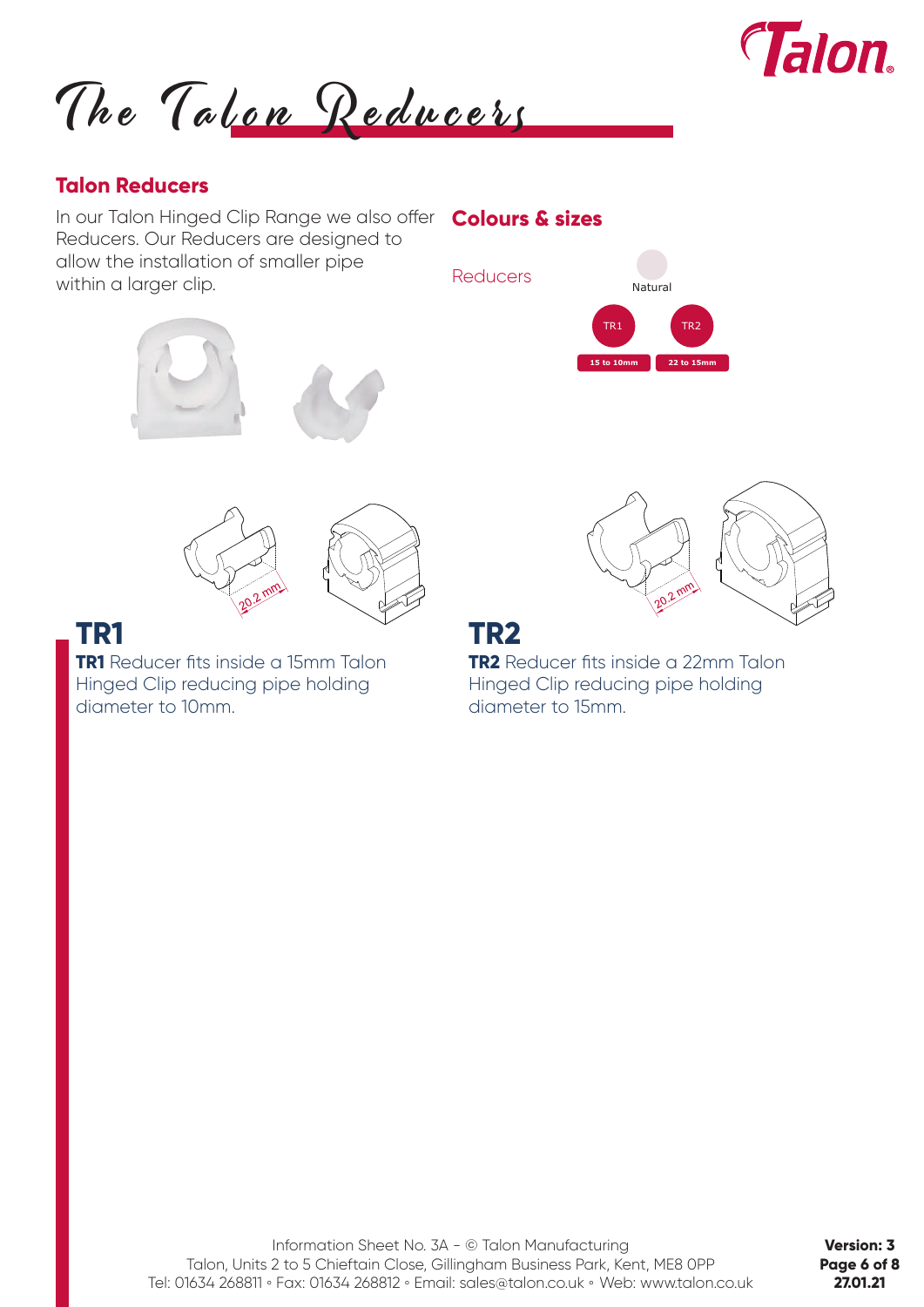

The Talon Reducers

#### **Talon Reducers**

In our Talon Hinged Clip Range we also offer **Colours & sizes** Reducers. Our Reducers are designed to allow the installation of smaller pipe within a larger clip.







**TR1** Reducer fits inside a 15mm Talon Hinged Clip reducing pipe holding diameter to 10mm.



# **TR1 TR2**

**TR2** Reducer fits inside a 22mm Talon Hinged Clip reducing pipe holding diameter to 15mm.

**Version: 3 Page 6 of 8 27.01.21**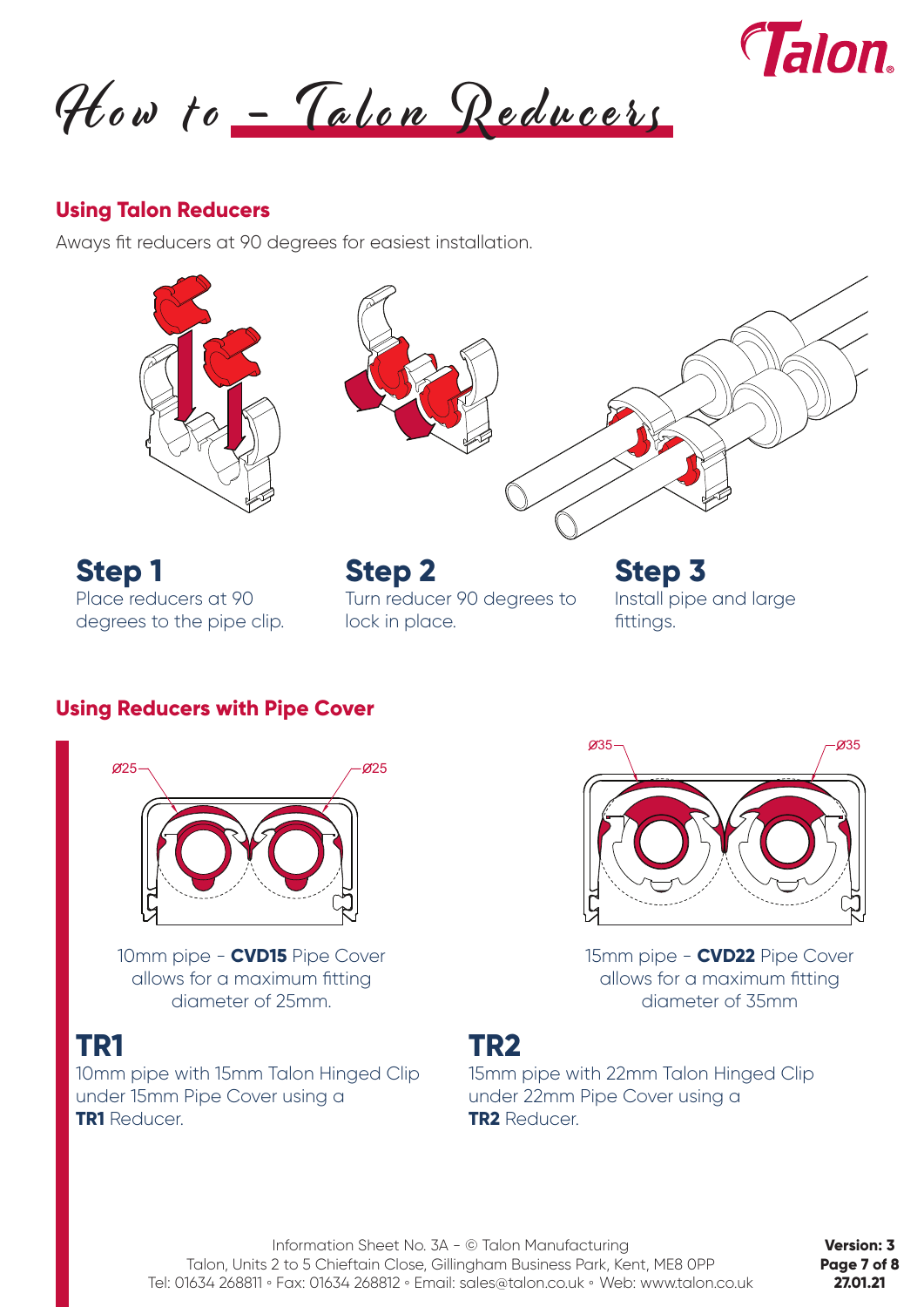![](_page_6_Picture_0.jpeg)

How to - Talon Reducers

#### **Using Talon Reducers**

Aways fit reducers at 90 degrees for easiest installation.

![](_page_6_Picture_4.jpeg)

![](_page_6_Picture_5.jpeg)

**Step 1 Step 2 Step 3** Place reducers at 90 degrees to the pipe clip.

Turn reducer 90 degrees to lock in place.

Install pipe and large fittings.

#### **Using Reducers with Pipe Cover**

![](_page_6_Picture_10.jpeg)

10mm pipe - **CVD15** Pipe Cover allows for a maximum fitting diameter of 25mm.

10mm pipe with 15mm Talon Hinged Clip under 15mm Pipe Cover using a **TR1** Reducer.

![](_page_6_Picture_14.jpeg)

15mm pipe - **CVD22** Pipe Cover allows for a maximum fitting diameter of 35mm

# **TR1 TR2**

15mm pipe with 22mm Talon Hinged Clip under 22mm Pipe Cover using a **TR2** Reducer.

Information Sheet No. 3A - © Talon Manufacturing Talon, Units 2 to 5 Chieftain Close, Gillingham Business Park, Kent, ME8 0PP Tel: 01634 268811 **◦** Fax: 01634 268812 **◦** Email: sales@talon.co.uk **◦** Web: www.talon.co.uk

**Version: 3 Page 7 of 8 27.01.21**